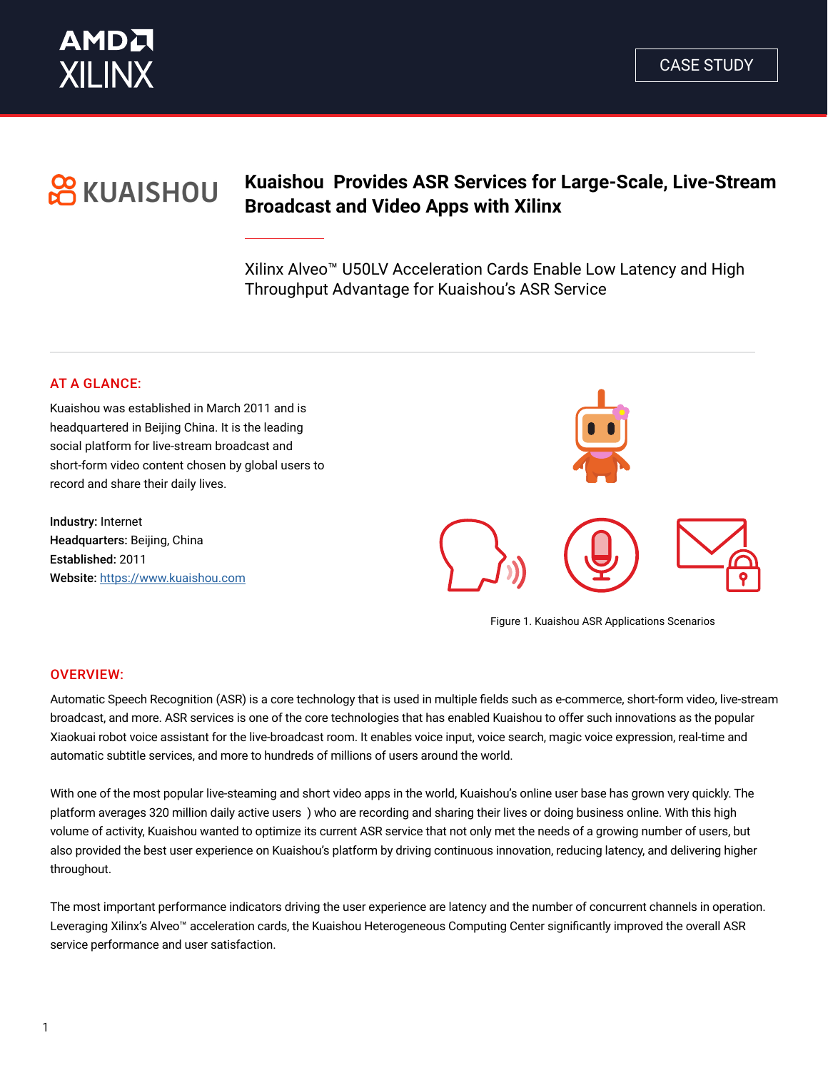

# **OR KUAISHOU**

### **Kuaishou Provides ASR Services for Large-Scale, Live-Stream Broadcast and Video Apps with Xilinx**

Xilinx Alveo™ U50LV Acceleration Cards Enable Low Latency and High Throughput Advantage for Kuaishou's ASR Service

#### AT A GLANCE:

Kuaishou was established in March 2011 and is headquartered in Beijing China. It is the leading social platform for live-stream broadcast and short-form video content chosen by global users to record and share their daily lives.

Industry: Internet Headquarters: Beijing, China Established: 2011 Website: <https://www.kuaishou.com>



Figure 1. Kuaishou ASR Applications Scenarios

#### OVERVIEW:

Automatic Speech Recognition (ASR) is a core technology that is used in multiple fields such as e-commerce, short-form video, live-stream broadcast, and more. ASR services is one of the core technologies that has enabled Kuaishou to offer such innovations as the popular Xiaokuai robot voice assistant for the live-broadcast room. It enables voice input, voice search, magic voice expression, real-time and automatic subtitle services, and more to hundreds of millions of users around the world.

With one of the most popular live-steaming and short video apps in the world, Kuaishou's online user base has grown very quickly. The platform averages 320 million daily active users ) who are recording and sharing their lives or doing business online. With this high volume of activity, Kuaishou wanted to optimize its current ASR service that not only met the needs of a growing number of users, but also provided the best user experience on Kuaishou's platform by driving continuous innovation, reducing latency, and delivering higher throughout.

The most important performance indicators driving the user experience are latency and the number of concurrent channels in operation. Leveraging Xilinx's Alveo™ acceleration cards, the Kuaishou Heterogeneous Computing Center significantly improved the overall ASR service performance and user satisfaction.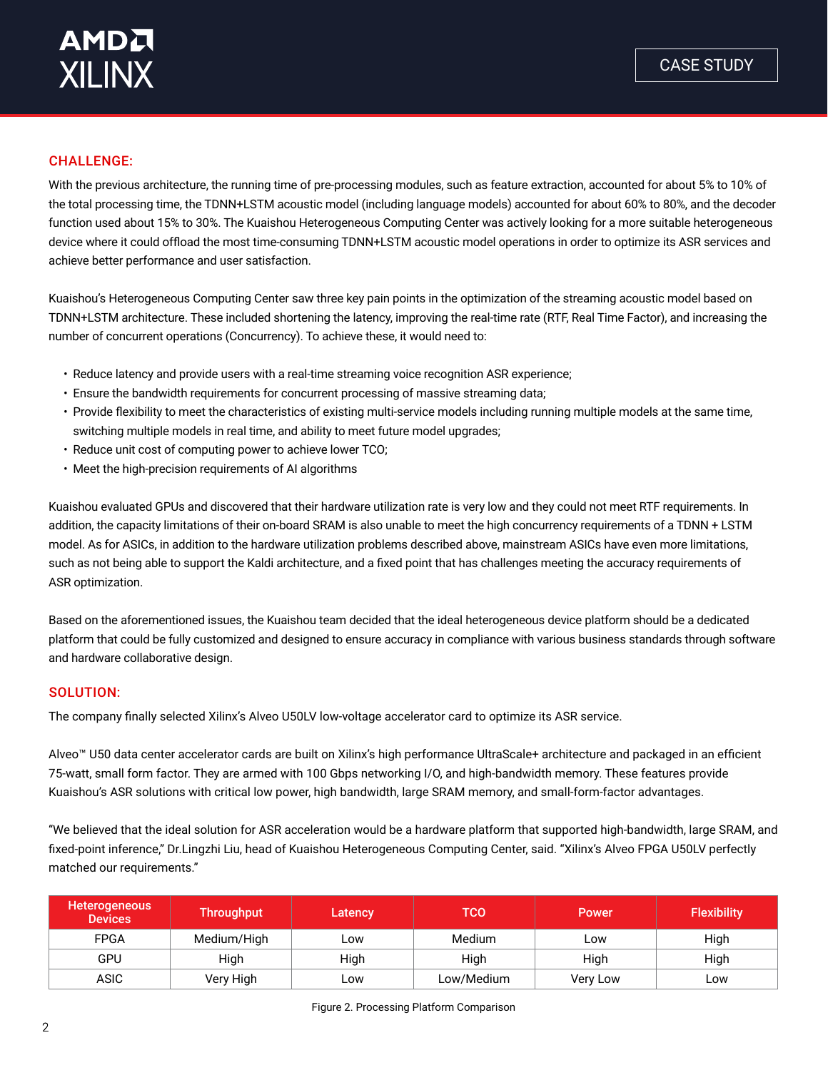#### CHALLENGE:

With the previous architecture, the running time of pre-processing modules, such as feature extraction, accounted for about 5% to 10% of the total processing time, the TDNN+LSTM acoustic model (including language models) accounted for about 60% to 80%, and the decoder function used about 15% to 30%. The Kuaishou Heterogeneous Computing Center was actively looking for a more suitable heterogeneous device where it could offload the most time-consuming TDNN+LSTM acoustic model operations in order to optimize its ASR services and achieve better performance and user satisfaction.

Kuaishou's Heterogeneous Computing Center saw three key pain points in the optimization of the streaming acoustic model based on TDNN+LSTM architecture. These included shortening the latency, improving the real-time rate (RTF, Real Time Factor), and increasing the number of concurrent operations (Concurrency). To achieve these, it would need to:

- Reduce latency and provide users with a real-time streaming voice recognition ASR experience;
- Ensure the bandwidth requirements for concurrent processing of massive streaming data;
- Provide flexibility to meet the characteristics of existing multi-service models including running multiple models at the same time, switching multiple models in real time, and ability to meet future model upgrades;
- Reduce unit cost of computing power to achieve lower TCO;
- Meet the high-precision requirements of AI algorithms

Kuaishou evaluated GPUs and discovered that their hardware utilization rate is very low and they could not meet RTF requirements. In addition, the capacity limitations of their on-board SRAM is also unable to meet the high concurrency requirements of a TDNN + LSTM model. As for ASICs, in addition to the hardware utilization problems described above, mainstream ASICs have even more limitations, such as not being able to support the Kaldi architecture, and a fixed point that has challenges meeting the accuracy requirements of ASR optimization.

Based on the aforementioned issues, the Kuaishou team decided that the ideal heterogeneous device platform should be a dedicated platform that could be fully customized and designed to ensure accuracy in compliance with various business standards through software and hardware collaborative design.

#### SOLUTION:

The company finally selected Xilinx's Alveo U50LV low-voltage accelerator card to optimize its ASR service.

Alveo™ U50 data center accelerator cards are built on Xilinx's high performance UltraScale+ architecture and packaged in an efficient 75-watt, small form factor. They are armed with 100 Gbps networking I/O, and high-bandwidth memory. These features provide Kuaishou's ASR solutions with critical low power, high bandwidth, large SRAM memory, and small-form-factor advantages.

"We believed that the ideal solution for ASR acceleration would be a hardware platform that supported high-bandwidth, large SRAM, and fixed-point inference," Dr.Lingzhi Liu, head of Kuaishou Heterogeneous Computing Center, said. "Xilinx's Alveo FPGA U50LV perfectly matched our requirements."

| Heterogeneous<br><b>Devices</b> | <b>Throughput</b> | Latency | тсо        | <b>Power</b> | <b>Flexibility</b> |
|---------------------------------|-------------------|---------|------------|--------------|--------------------|
| <b>FPGA</b>                     | Medium/High       | Low     | Medium     | Low          | High               |
| GPU                             | High              | High    | High       | High         | High               |
| <b>ASIC</b>                     | Very High         | Low     | Low/Medium | Very Low     | Low                |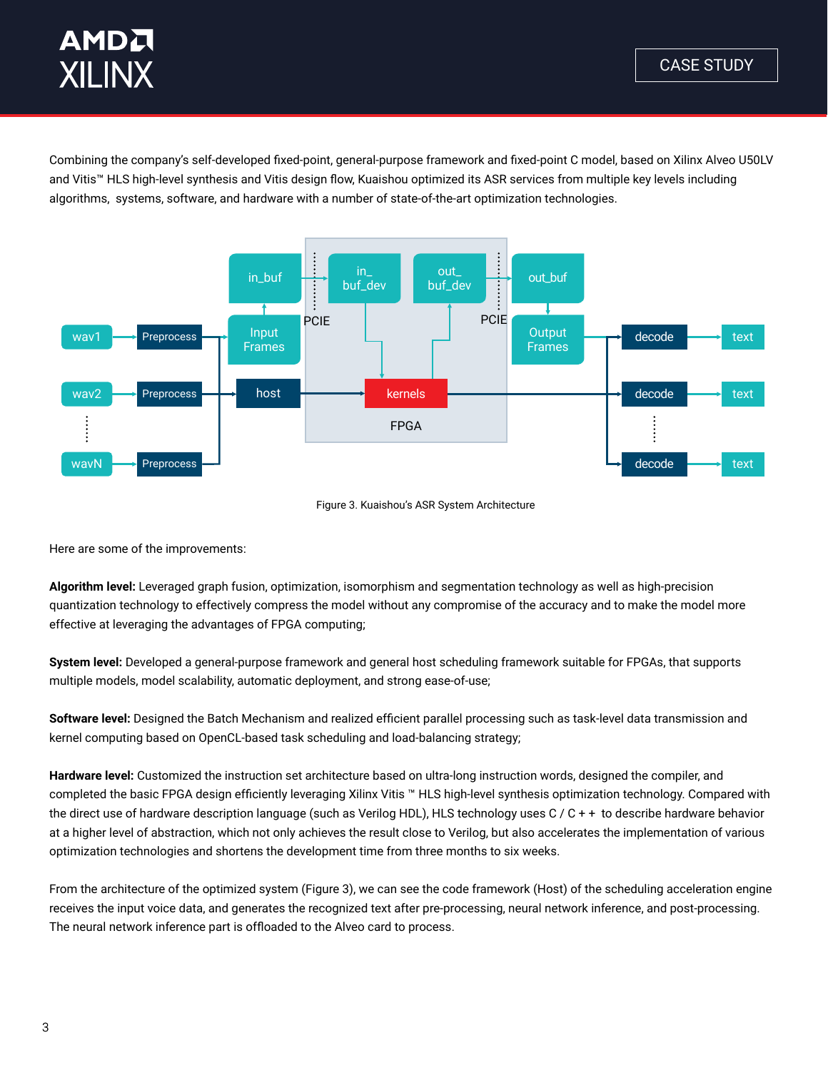## **AMDA XILINX**

Combining the company's self-developed fixed-point, general-purpose framework and fixed-point C model, based on Xilinx Alveo U50LV and Vitis™ HLS high-level synthesis and Vitis design flow, Kuaishou optimized its ASR services from multiple key levels including algorithms, systems, software, and hardware with a number of state-of-the-art optimization technologies.



#### Figure 3. Kuaishou's ASR System Architecture

Here are some of the improvements:

**Algorithm level:** Leveraged graph fusion, optimization, isomorphism and segmentation technology as well as high-precision quantization technology to effectively compress the model without any compromise of the accuracy and to make the model more effective at leveraging the advantages of FPGA computing;

**System level:** Developed a general-purpose framework and general host scheduling framework suitable for FPGAs, that supports multiple models, model scalability, automatic deployment, and strong ease-of-use;

**Software level:** Designed the Batch Mechanism and realized efficient parallel processing such as task-level data transmission and kernel computing based on OpenCL-based task scheduling and load-balancing strategy;

**Hardware level:** Customized the instruction set architecture based on ultra-long instruction words, designed the compiler, and completed the basic FPGA design efficiently leveraging Xilinx Vitis ™ HLS high-level synthesis optimization technology. Compared with the direct use of hardware description language (such as Verilog HDL), HLS technology uses C / C + + to describe hardware behavior at a higher level of abstraction, which not only achieves the result close to Verilog, but also accelerates the implementation of various optimization technologies and shortens the development time from three months to six weeks.

From the architecture of the optimized system (Figure 3), we can see the code framework (Host) of the scheduling acceleration engine receives the input voice data, and generates the recognized text after pre-processing, neural network inference, and post-processing. The neural network inference part is offloaded to the Alveo card to process.